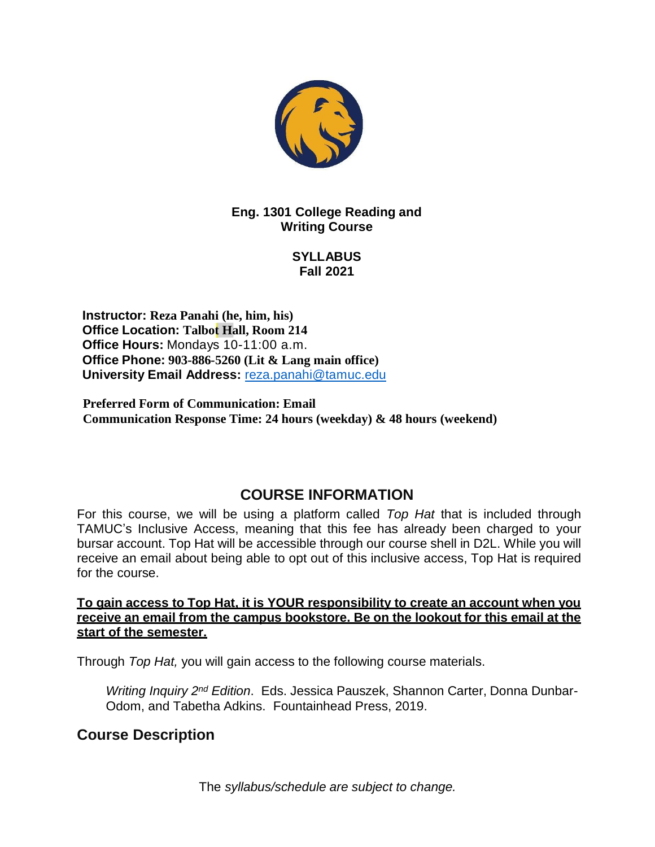

**Eng. 1301 College Reading and Writing Course**

> **SYLLABUS Fall 2021**

**Instructor: Reza Panahi (he, him, his) Office Location: Talbot Hall, Room 214 Office Hours:** Mondays 10-11:00 a.m. **Office Phone: 903-886-5260 (Lit & Lang main office) University Email Address:** [reza.panahi@tamuc.edu](mailto:preza@leomail.tamuc.edu)

**Preferred Form of Communication: Email Communication Response Time: 24 hours (weekday) & 48 hours (weekend)**

# **COURSE INFORMATION**

For this course, we will be using a platform called *Top Hat* that is included through TAMUC's Inclusive Access, meaning that this fee has already been charged to your bursar account. Top Hat will be accessible through our course shell in D2L. While you will receive an email about being able to opt out of this inclusive access, Top Hat is required for the course.

**To gain access to Top Hat, it is YOUR responsibility to create an account when you receive an email from the campus bookstore. Be on the lookout for this email at the start of the semester.**

Through *Top Hat,* you will gain access to the following course materials.

Writing Inquiry 2<sup>nd</sup> Edition. Eds. Jessica Pauszek, Shannon Carter, Donna Dunbar-Odom, and Tabetha Adkins. Fountainhead Press, 2019.

### **Course Description**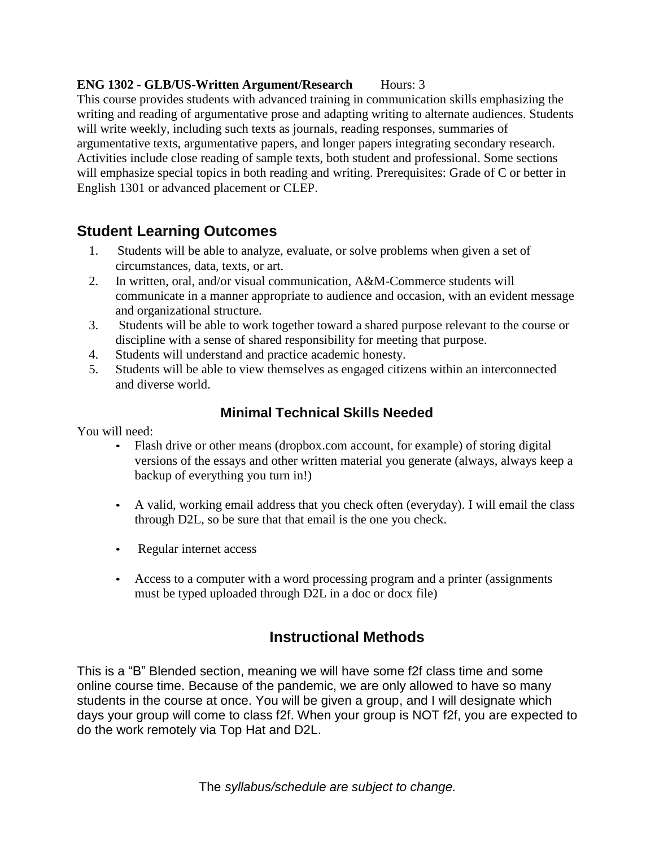#### **ENG 1302 - GLB/US-Written Argument/Research Hours: 3**

This course provides students with advanced training in communication skills emphasizing the writing and reading of argumentative prose and adapting writing to alternate audiences. Students will write weekly, including such texts as journals, reading responses, summaries of argumentative texts, argumentative papers, and longer papers integrating secondary research. Activities include close reading of sample texts, both student and professional. Some sections will emphasize special topics in both reading and writing. Prerequisites: Grade of C or better in English 1301 or advanced placement or CLEP.

### **Student Learning Outcomes**

- 1. Students will be able to analyze, evaluate, or solve problems when given a set of circumstances, data, texts, or art.
- 2. In written, oral, and/or visual communication, A&M-Commerce students will communicate in a manner appropriate to audience and occasion, with an evident message and organizational structure.
- 3. Students will be able to work together toward a shared purpose relevant to the course or discipline with a sense of shared responsibility for meeting that purpose.
- 4. Students will understand and practice academic honesty.
- 5. Students will be able to view themselves as engaged citizens within an interconnected and diverse world.

#### **Minimal Technical Skills Needed**

You will need:

- Flash drive or other means (dropbox.com account, for example) of storing digital versions of the essays and other written material you generate (always, always keep a backup of everything you turn in!)
- A valid, working email address that you check often (everyday). I will email the class through D2L, so be sure that that email is the one you check.
- Regular internet access
- Access to a computer with a word processing program and a printer (assignments must be typed uploaded through D2L in a doc or docx file)

### **Instructional Methods**

This is a "B" Blended section, meaning we will have some f2f class time and some online course time. Because of the pandemic, we are only allowed to have so many students in the course at once. You will be given a group, and I will designate which days your group will come to class f2f. When your group is NOT f2f, you are expected to do the work remotely via Top Hat and D2L.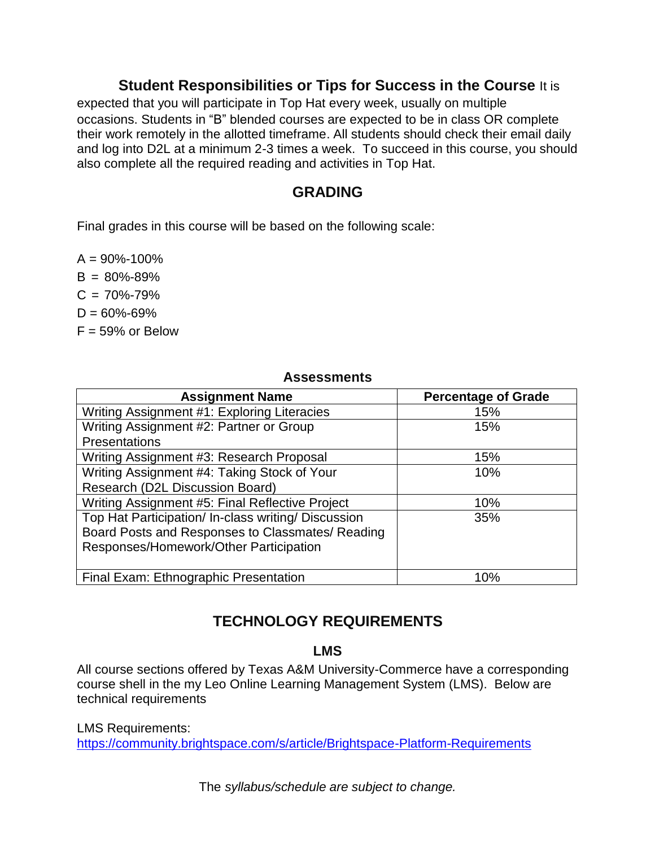### **Student Responsibilities or Tips for Success in the Course** It is

expected that you will participate in Top Hat every week, usually on multiple occasions. Students in "B" blended courses are expected to be in class OR complete their work remotely in the allotted timeframe. All students should check their email daily and log into D2L at a minimum 2-3 times a week. To succeed in this course, you should also complete all the required reading and activities in Top Hat.

### **GRADING**

Final grades in this course will be based on the following scale:

 $A = 90\% - 100\%$  $B = 80\% - 89\%$  $C = 70\% - 79\%$  $D = 60\% - 69\%$ 

 $F = 59\%$  or Below

#### **Assessments**

| <b>Assignment Name</b>                              | <b>Percentage of Grade</b> |
|-----------------------------------------------------|----------------------------|
| Writing Assignment #1: Exploring Literacies         | 15%                        |
| Writing Assignment #2: Partner or Group             | 15%                        |
| Presentations                                       |                            |
| Writing Assignment #3: Research Proposal            | 15%                        |
| Writing Assignment #4: Taking Stock of Your         | 10%                        |
| Research (D2L Discussion Board)                     |                            |
| Writing Assignment #5: Final Reflective Project     | 10%                        |
| Top Hat Participation/ In-class writing/ Discussion | 35%                        |
| Board Posts and Responses to Classmates/ Reading    |                            |
| Responses/Homework/Other Participation              |                            |
|                                                     |                            |
| Final Exam: Ethnographic Presentation               | 10%                        |

# **TECHNOLOGY REQUIREMENTS**

#### **LMS**

All course sections offered by Texas A&M University-Commerce have a corresponding course shell in the my Leo Online Learning Management System (LMS). Below are technical requirements

LMS Requirements: <https://community.brightspace.com/s/article/Brightspace-Platform-Requirements>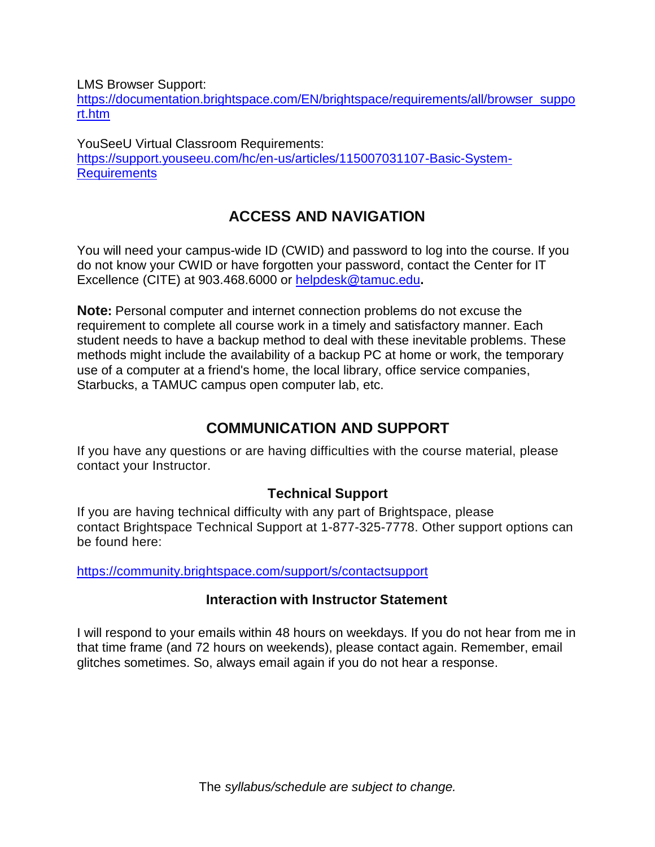LMS Browser Support:

[https://documentation.brightspace.com/EN/brightspace/requirements/all/browser\\_suppo](https://documentation.brightspace.com/EN/brightspace/requirements/all/browser_support.htm) [rt.htm](https://documentation.brightspace.com/EN/brightspace/requirements/all/browser_support.htm)

YouSeeU Virtual Classroom Requirements: [https://support.youseeu.com/hc/en-us/articles/115007031107-Basic-System-](https://support.youseeu.com/hc/en-us/articles/115007031107-Basic-System-Requirements)**[Requirements](https://support.youseeu.com/hc/en-us/articles/115007031107-Basic-System-Requirements)** 

# **ACCESS AND NAVIGATION**

You will need your campus-wide ID (CWID) and password to log into the course. If you do not know your CWID or have forgotten your password, contact the Center for IT Excellence (CITE) at 903.468.6000 or [helpdesk@tamuc.edu](mailto:helpdesk@tamuc.edu)**.**

**Note:** Personal computer and internet connection problems do not excuse the requirement to complete all course work in a timely and satisfactory manner. Each student needs to have a backup method to deal with these inevitable problems. These methods might include the availability of a backup PC at home or work, the temporary use of a computer at a friend's home, the local library, office service companies, Starbucks, a TAMUC campus open computer lab, etc.

# **COMMUNICATION AND SUPPORT**

If you have any questions or are having difficulties with the course material, please contact your Instructor.

### **Technical Support**

If you are having technical difficulty with any part of Brightspace, please contact Brightspace Technical Support at 1-877-325-7778. Other support options can be found here:

<https://community.brightspace.com/support/s/contactsupport>

### **Interaction with Instructor Statement**

I will respond to your emails within 48 hours on weekdays. If you do not hear from me in that time frame (and 72 hours on weekends), please contact again. Remember, email glitches sometimes. So, always email again if you do not hear a response.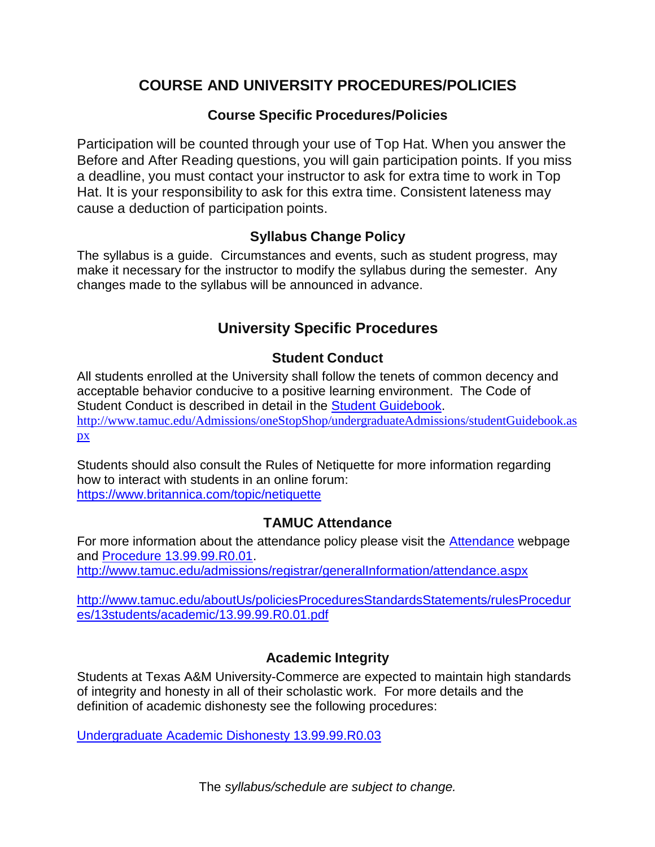# **COURSE AND UNIVERSITY PROCEDURES/POLICIES**

### **Course Specific Procedures/Policies**

Participation will be counted through your use of Top Hat. When you answer the Before and After Reading questions, you will gain participation points. If you miss a deadline, you must contact your instructor to ask for extra time to work in Top Hat. It is your responsibility to ask for this extra time. Consistent lateness may cause a deduction of participation points.

### **Syllabus Change Policy**

The syllabus is a guide. Circumstances and events, such as student progress, may make it necessary for the instructor to modify the syllabus during the semester. Any changes made to the syllabus will be announced in advance.

# **University Specific Procedures**

## **Student Conduct**

All students enrolled at the University shall follow the tenets of common decency and acceptable behavior conducive to a positive learning environment. The Code of Student Conduct is described in detail in the Student [Guidebook.](http://www.tamuc.edu/Admissions/oneStopShop/undergraduateAdmissions/studentGuidebook.aspx) [http://www.tamuc.edu/Admissions/oneStopShop/undergraduateAdmissions/studentGuidebook.as](http://www.tamuc.edu/Admissions/oneStopShop/undergraduateAdmissions/studentGuidebook.aspx) [px](http://www.tamuc.edu/Admissions/oneStopShop/undergraduateAdmissions/studentGuidebook.aspx)

Students should also consult the Rules of Netiquette for more information regarding how to interact with students in an online forum: <https://www.britannica.com/topic/netiquette>

### **TAMUC Attendance**

For more information about the attendance policy please visit the [Attendance](http://www.tamuc.edu/admissions/registrar/generalInformation/attendance.aspx) webpage and Procedure [13.99.99.R0.01.](http://www.tamuc.edu/aboutUs/policiesProceduresStandardsStatements/rulesProcedures/13students/academic/13.99.99.R0.01.pdf) <http://www.tamuc.edu/admissions/registrar/generalInformation/attendance.aspx>

[http://www.tamuc.edu/aboutUs/policiesProceduresStandardsStatements/rulesProcedur](http://www.tamuc.edu/aboutUs/policiesProceduresStandardsStatements/rulesProcedures/13students/academic/13.99.99.R0.01.pdf) [es/13students/academic/13.99.99.R0.01.pdf](http://www.tamuc.edu/aboutUs/policiesProceduresStandardsStatements/rulesProcedures/13students/academic/13.99.99.R0.01.pdf)

### **Academic Integrity**

Students at Texas A&M University-Commerce are expected to maintain high standards of integrity and honesty in all of their scholastic work. For more details and the definition of academic dishonesty see the following procedures:

Undergraduate [Academic Dishonesty](http://www.tamuc.edu/aboutUs/policiesProceduresStandardsStatements/rulesProcedures/13students/undergraduates/13.99.99.R0.03UndergraduateAcademicDishonesty.pdf) 13.99.99.R0.03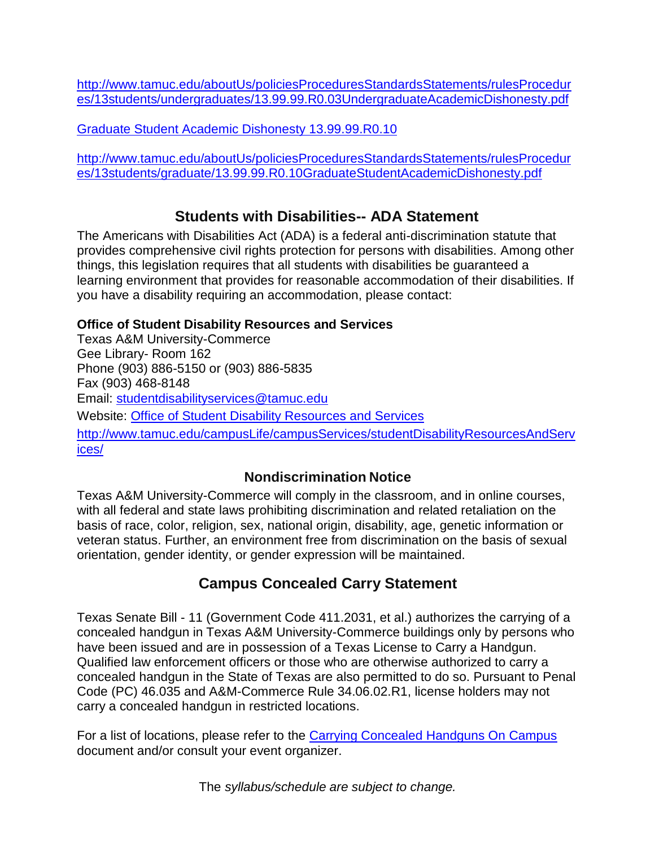[http://www.tamuc.edu/aboutUs/policiesProceduresStandardsStatements/rulesProcedur](http://www.tamuc.edu/aboutUs/policiesProceduresStandardsStatements/rulesProcedures/13students/undergraduates/13.99.99.R0.03UndergraduateAcademicDishonesty.pdf) [es/13students/undergraduates/13.99.99.R0.03UndergraduateAcademicDishonesty.pdf](http://www.tamuc.edu/aboutUs/policiesProceduresStandardsStatements/rulesProcedures/13students/undergraduates/13.99.99.R0.03UndergraduateAcademicDishonesty.pdf)

Graduate Student [Academic Dishonesty](http://www.tamuc.edu/aboutUs/policiesProceduresStandardsStatements/rulesProcedures/13students/graduate/13.99.99.R0.10GraduateStudentAcademicDishonesty.pdf) 13.99.99.R0.10

[http://www.tamuc.edu/aboutUs/policiesProceduresStandardsStatements/rulesProcedur](http://www.tamuc.edu/aboutUs/policiesProceduresStandardsStatements/rulesProcedures/13students/graduate/13.99.99.R0.10GraduateStudentAcademicDishonesty.pdf) [es/13students/graduate/13.99.99.R0.10GraduateStudentAcademicDishonesty.pdf](http://www.tamuc.edu/aboutUs/policiesProceduresStandardsStatements/rulesProcedures/13students/graduate/13.99.99.R0.10GraduateStudentAcademicDishonesty.pdf)

# **Students with Disabilities-- ADA Statement**

The Americans with Disabilities Act (ADA) is a federal anti-discrimination statute that provides comprehensive civil rights protection for persons with disabilities. Among other things, this legislation requires that all students with disabilities be guaranteed a learning environment that provides for reasonable accommodation of their disabilities. If you have a disability requiring an accommodation, please contact:

#### **Office of Student Disability Resources and Services**

Texas A&M University-Commerce Gee Library- Room 162 Phone (903) 886-5150 or (903) 886-5835 Fax (903) 468-8148 Email: [studentdisabilityservices@tamuc.edu](mailto:studentdisabilityservices@tamuc.edu) Website: Office of Student [Disability Resources and](http://www.tamuc.edu/campusLife/campusServices/studentDisabilityResourcesAndServices/) Services [http://www.tamuc.edu/campusLife/campusServices/studentDisabilityResourcesAndServ](http://www.tamuc.edu/campusLife/campusServices/studentDisabilityResourcesAndServices/) [ices/](http://www.tamuc.edu/campusLife/campusServices/studentDisabilityResourcesAndServices/)

### **Nondiscrimination Notice**

Texas A&M University-Commerce will comply in the classroom, and in online courses, with all federal and state laws prohibiting discrimination and related retaliation on the basis of race, color, religion, sex, national origin, disability, age, genetic information or veteran status. Further, an environment free from discrimination on the basis of sexual orientation, gender identity, or gender expression will be maintained.

# **Campus Concealed Carry Statement**

Texas Senate Bill - 11 (Government Code 411.2031, et al.) authorizes the carrying of a concealed handgun in Texas A&M University-Commerce buildings only by persons who have been issued and are in possession of a Texas License to Carry a Handgun. Qualified law enforcement officers or those who are otherwise authorized to carry a concealed handgun in the State of Texas are also permitted to do so. Pursuant to Penal Code (PC) 46.035 and A&M-Commerce Rule 34.06.02.R1, license holders may not carry a concealed handgun in restricted locations.

For a list of locations, please refer to the Carrying [Concealed](http://www.tamuc.edu/aboutUs/policiesProceduresStandardsStatements/rulesProcedures/34SafetyOfEmployeesAndStudents/34.06.02.R1.pdf) Handguns On Campus document and/or consult your event organizer.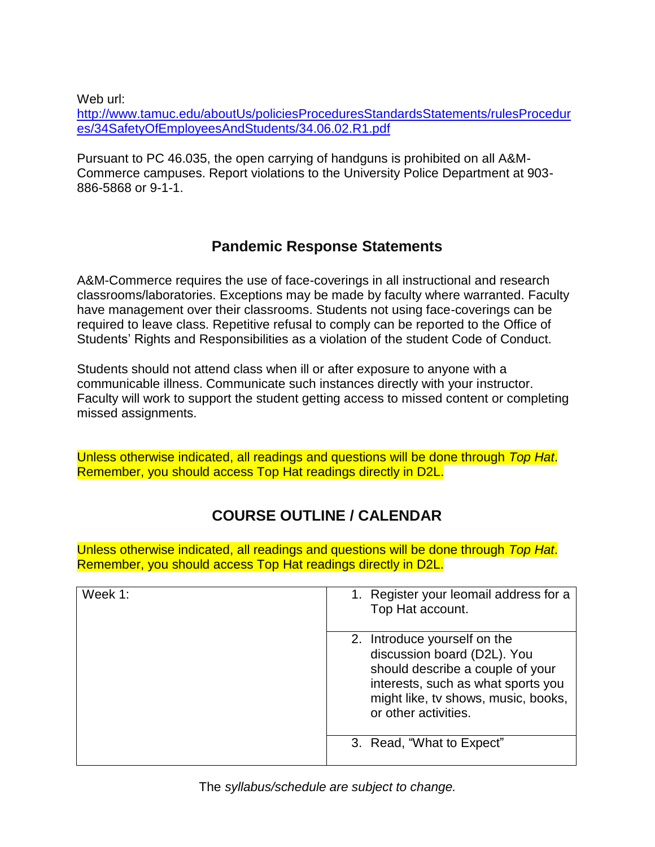Web url:

[http://www.tamuc.edu/aboutUs/policiesProceduresStandardsStatements/rulesProcedur](http://www.tamuc.edu/aboutUs/policiesProceduresStandardsStatements/rulesProcedures/34SafetyOfEmployeesAndStudents/34.06.02.R1.pdf) [es/34SafetyOfEmployeesAndStudents/34.06.02.R1.pdf](http://www.tamuc.edu/aboutUs/policiesProceduresStandardsStatements/rulesProcedures/34SafetyOfEmployeesAndStudents/34.06.02.R1.pdf)

Pursuant to PC 46.035, the open carrying of handguns is prohibited on all A&M-Commerce campuses. Report violations to the University Police Department at 903- 886-5868 or 9-1-1.

## **Pandemic Response Statements**

A&M-Commerce requires the use of face-coverings in all instructional and research classrooms/laboratories. Exceptions may be made by faculty where warranted. Faculty have management over their classrooms. Students not using face-coverings can be required to leave class. Repetitive refusal to comply can be reported to the Office of Students' Rights and Responsibilities as a violation of the student Code of Conduct.

Students should not attend class when ill or after exposure to anyone with a communicable illness. Communicate such instances directly with your instructor. Faculty will work to support the student getting access to missed content or completing missed assignments.

Unless otherwise indicated, all readings and questions will be done through *Top Hat*. Remember, you should access Top Hat readings directly in D2L.

# **COURSE OUTLINE / CALENDAR**

Unless otherwise indicated, all readings and questions will be done through *Top Hat*. Remember, you should access Top Hat readings directly in D2L.

| Week 1: | 1. Register your leomail address for a<br>Top Hat account.                                                                                                                                           |
|---------|------------------------------------------------------------------------------------------------------------------------------------------------------------------------------------------------------|
|         | 2. Introduce yourself on the<br>discussion board (D2L). You<br>should describe a couple of your<br>interests, such as what sports you<br>might like, tv shows, music, books,<br>or other activities. |
|         | 3. Read, "What to Expect"                                                                                                                                                                            |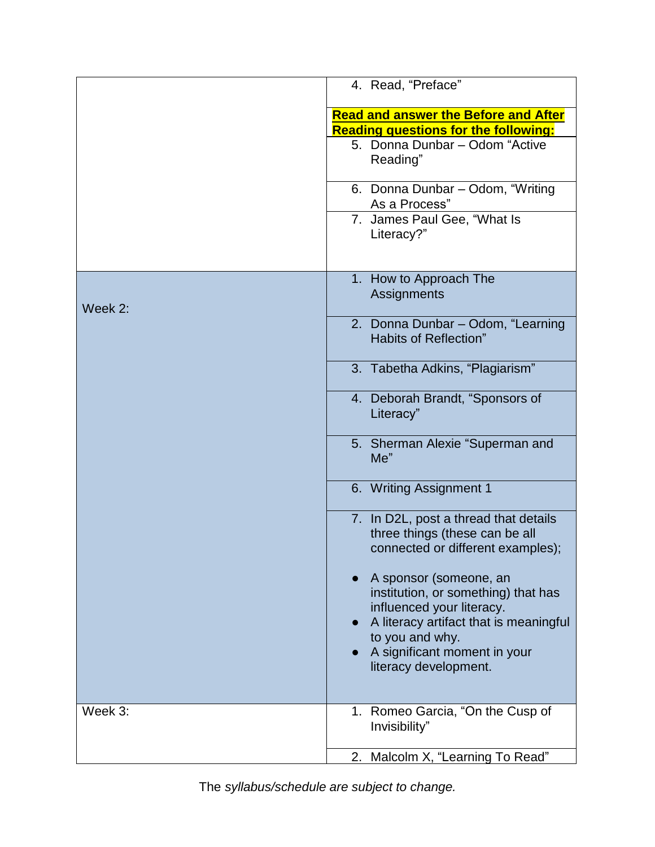|         | 4. Read, "Preface"                                                                                                                   |
|---------|--------------------------------------------------------------------------------------------------------------------------------------|
|         | <b>Read and answer the Before and After</b><br><b>Reading questions for the following:</b>                                           |
|         | 5. Donna Dunbar - Odom "Active"<br>Reading"                                                                                          |
|         | 6. Donna Dunbar - Odom, "Writing<br>As a Process"                                                                                    |
|         | 7. James Paul Gee, "What Is<br>Literacy?"                                                                                            |
| Week 2: | 1. How to Approach The<br>Assignments                                                                                                |
|         | 2. Donna Dunbar - Odom, "Learning<br>Habits of Reflection"                                                                           |
|         | 3. Tabetha Adkins, "Plagiarism"                                                                                                      |
|         | 4. Deborah Brandt, "Sponsors of<br>Literacy"                                                                                         |
|         | 5. Sherman Alexie "Superman and<br>Me"                                                                                               |
|         | 6. Writing Assignment 1                                                                                                              |
|         | 7. In D2L, post a thread that details<br>three things (these can be all<br>connected or different examples);                         |
|         | A sponsor (someone, an<br>institution, or something) that has<br>influenced your literacy.<br>A literacy artifact that is meaningful |
|         | to you and why.<br>A significant moment in your<br>literacy development.                                                             |
| Week 3: | 1. Romeo Garcia, "On the Cusp of<br>Invisibility"                                                                                    |
|         | 2. Malcolm X, "Learning To Read"                                                                                                     |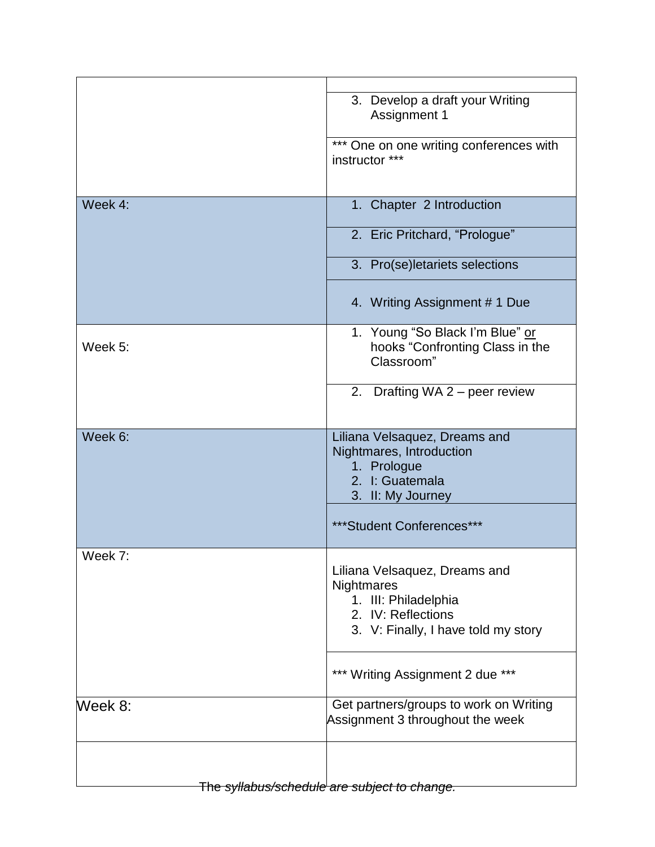|                                              | 3. Develop a draft your Writing<br>Assignment 1                                                                                  |
|----------------------------------------------|----------------------------------------------------------------------------------------------------------------------------------|
|                                              | *** One on one writing conferences with<br>instructor ***                                                                        |
| Week 4:                                      | 1. Chapter 2 Introduction                                                                                                        |
|                                              | 2. Eric Pritchard, "Prologue"                                                                                                    |
|                                              | 3. Pro(se)letariets selections                                                                                                   |
|                                              | 4. Writing Assignment # 1 Due                                                                                                    |
| Week 5:                                      | 1. Young "So Black I'm Blue" or<br>hooks "Confronting Class in the<br>Classroom"                                                 |
|                                              | 2. Drafting WA $2$ – peer review                                                                                                 |
| Week 6:                                      | Liliana Velsaquez, Dreams and<br>Nightmares, Introduction<br>1. Prologue<br>2. I: Guatemala<br>3. II: My Journey                 |
|                                              | ***Student Conferences***                                                                                                        |
| Week 7:                                      | Liliana Velsaquez, Dreams and<br>Nightmares<br>1. III: Philadelphia<br>2. IV: Reflections<br>3. V: Finally, I have told my story |
|                                              | *** Writing Assignment 2 due ***                                                                                                 |
| Week 8:                                      | Get partners/groups to work on Writing<br>Assignment 3 throughout the week                                                       |
|                                              |                                                                                                                                  |
| The syllabus/schedule are subject to change. |                                                                                                                                  |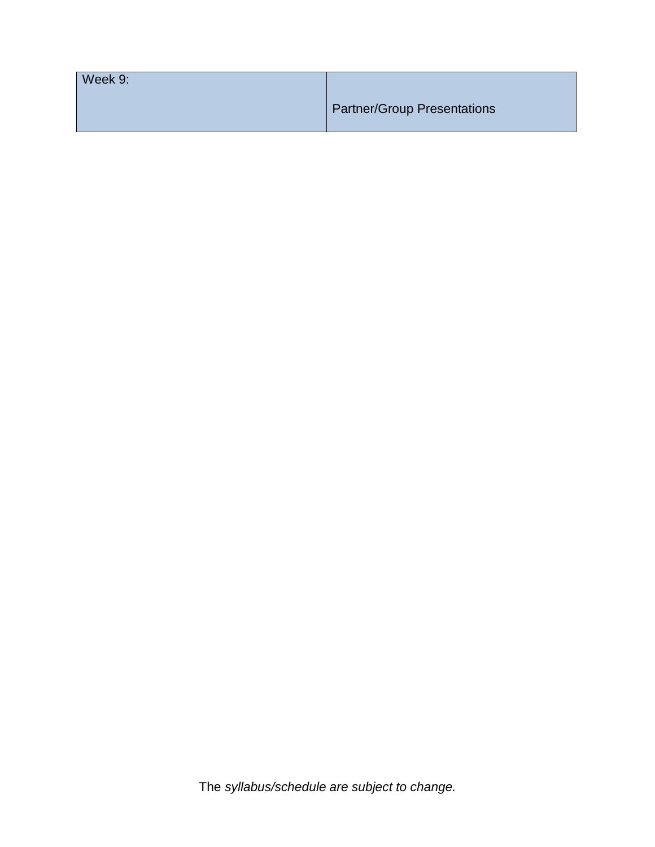| Week 9: |                                    |
|---------|------------------------------------|
|         | <b>Partner/Group Presentations</b> |